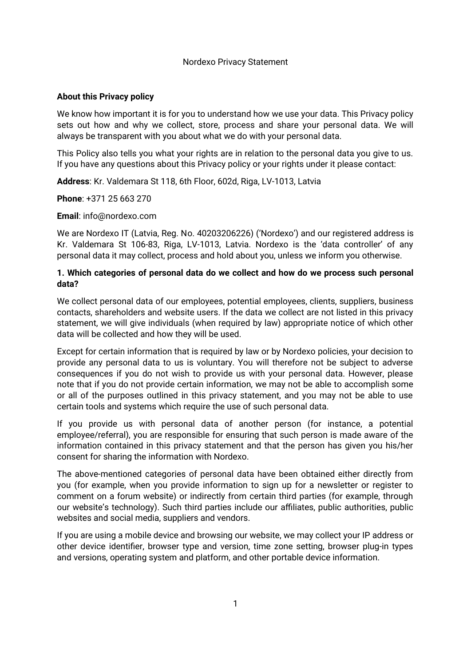### Nordexo Privacy Statement

# **About this Privacy policy**

We know how important it is for you to understand how we use your data. This Privacy policy sets out how and why we collect, store, process and share your personal data. We will always be transparent with you about what we do with your personal data.

This Policy also tells you what your rights are in relation to the personal data you give to us. If you have any questions about this Privacy policy or your rights under it please contact:

**Address**: Kr. Valdemara St 118, 6th Floor, 602d, Riga, LV-1013, Latvia

**Phone**: +371 25 663 270

**Email**: info@nordexo.com

We are Nordexo IT (Latvia, Reg. No. 40203206226) ('Nordexo') and our registered address is Kr. Valdemara St 106-83, Riga, LV-1013, Latvia. Nordexo is the 'data controller' of any personal data it may collect, process and hold about you, unless we inform you otherwise.

# **1. Which categories of personal data do we collect and how do we process such personal data?**

We collect personal data of our employees, potential employees, clients, suppliers, business contacts, shareholders and website users. If the data we collect are not listed in this privacy statement, we will give individuals (when required by law) appropriate notice of which other data will be collected and how they will be used.

Except for certain information that is required by law or by Nordexo policies, your decision to provide any personal data to us is voluntary. You will therefore not be subject to adverse consequences if you do not wish to provide us with your personal data. However, please note that if you do not provide certain information, we may not be able to accomplish some or all of the purposes outlined in this privacy statement, and you may not be able to use certain tools and systems which require the use of such personal data.

If you provide us with personal data of another person (for instance, a potential employee/referral), you are responsible for ensuring that such person is made aware of the information contained in this privacy statement and that the person has given you his/her consent for sharing the information with Nordexo.

The above-mentioned categories of personal data have been obtained either directly from you (for example, when you provide information to sign up for a newsletter or register to comment on a forum website) or indirectly from certain third parties (for example, through our website's technology). Such third parties include our affiliates, public authorities, public websites and social media, suppliers and vendors.

If you are using a mobile device and browsing our website, we may collect your IP address or other device identifier, browser type and version, time zone setting, browser plug-in types and versions, operating system and platform, and other portable device information.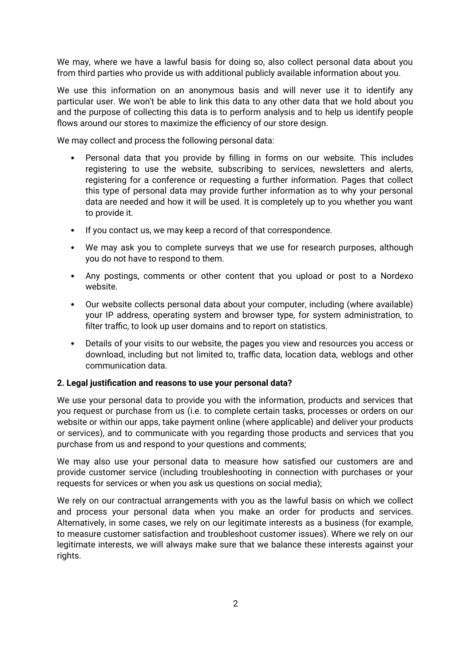We may, where we have a lawful basis for doing so, also collect personal data about you from third parties who provide us with additional publicly available information about you.

We use this information on an anonymous basis and will never use it to identify any particular user. We won't be able to link this data to any other data that we hold about you and the purpose of collecting this data is to perform analysis and to help us identify people flows around our stores to maximize the efficiency of our store design.

We may collect and process the following personal data:

- Personal data that you provide by filling in forms on our website. This includes registering to use the website, subscribing to services, newsletters and alerts, registering for a conference or requesting a further information. Pages that collect this type of personal data may provide further information as to why your personal data are needed and how it will be used. It is completely up to you whether you want to provide it.
- If you contact us, we may keep a record of that correspondence.
- We may ask you to complete surveys that we use for research purposes, although you do not have to respond to them.
- Any postings, comments or other content that you upload or post to a Nordexo website.
- Our website collects personal data about your computer, including (where available) your IP address, operating system and browser type, for system administration, to filter traffic, to look up user domains and to report on statistics.
- Details of your visits to our website, the pages you view and resources you access or download, including but not limited to, traffic data, location data, weblogs and other communication data.

#### **2. Legal justification and reasons to use your personal data?**

We use your personal data to provide you with the information, products and services that you request or purchase from us (i.e. to complete certain tasks, processes or orders on our website or within our apps, take payment online (where applicable) and deliver your products or services), and to communicate with you regarding those products and services that you purchase from us and respond to your questions and comments;

We may also use your personal data to measure how satisfied our customers are and provide customer service (including troubleshooting in connection with purchases or your requests for services or when you ask us questions on social media);

We rely on our contractual arrangements with you as the lawful basis on which we collect and process your personal data when you make an order for products and services. Alternatively, in some cases, we rely on our legitimate interests as a business (for example, to measure customer satisfaction and troubleshoot customer issues). Where we rely on our legitimate interests, we will always make sure that we balance these interests against your rights.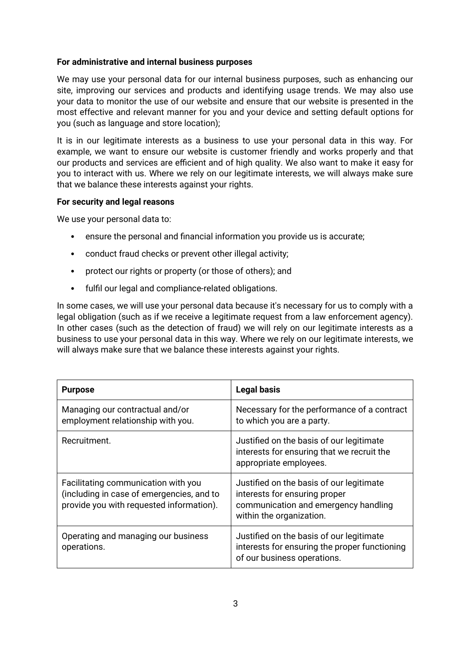### **For administrative and internal business purposes**

We may use your personal data for our internal business purposes, such as enhancing our site, improving our services and products and identifying usage trends. We may also use your data to monitor the use of our website and ensure that our website is presented in the most effective and relevant manner for you and your device and setting default options for you (such as language and store location);

It is in our legitimate interests as a business to use your personal data in this way. For example, we want to ensure our website is customer friendly and works properly and that our products and services are efficient and of high quality. We also want to make it easy for you to interact with us. Where we rely on our legitimate interests, we will always make sure that we balance these interests against your rights.

### **For security and legal reasons**

We use your personal data to:

- ensure the personal and financial information you provide us is accurate;
- conduct fraud checks or prevent other illegal activity;
- protect our rights or property (or those of others); and
- fulfil our legal and compliance-related obligations.

In some cases, we will use your personal data because it's necessary for us to comply with a legal obligation (such as if we receive a legitimate request from a law enforcement agency). In other cases (such as the detection of fraud) we will rely on our legitimate interests as a business to use your personal data in this way. Where we rely on our legitimate interests, we will always make sure that we balance these interests against your rights.

| <b>Purpose</b>                                                                                                               | <b>Legal basis</b>                                                                                                                            |
|------------------------------------------------------------------------------------------------------------------------------|-----------------------------------------------------------------------------------------------------------------------------------------------|
| Managing our contractual and/or<br>employment relationship with you.                                                         | Necessary for the performance of a contract<br>to which you are a party.                                                                      |
| Recruitment.                                                                                                                 | Justified on the basis of our legitimate<br>interests for ensuring that we recruit the<br>appropriate employees.                              |
| Facilitating communication with you<br>(including in case of emergencies, and to<br>provide you with requested information). | Justified on the basis of our legitimate<br>interests for ensuring proper<br>communication and emergency handling<br>within the organization. |
| Operating and managing our business<br>operations.                                                                           | Justified on the basis of our legitimate<br>interests for ensuring the proper functioning<br>of our business operations.                      |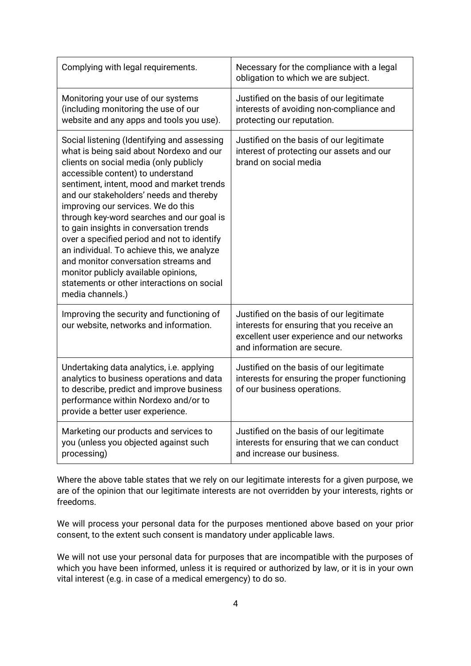| Complying with legal requirements.                                                                                                                                                                                                                                                                                                                                                                                                                                                                                                                                                                                                          | Necessary for the compliance with a legal<br>obligation to which we are subject.                                                                                    |
|---------------------------------------------------------------------------------------------------------------------------------------------------------------------------------------------------------------------------------------------------------------------------------------------------------------------------------------------------------------------------------------------------------------------------------------------------------------------------------------------------------------------------------------------------------------------------------------------------------------------------------------------|---------------------------------------------------------------------------------------------------------------------------------------------------------------------|
| Monitoring your use of our systems<br>(including monitoring the use of our<br>website and any apps and tools you use).                                                                                                                                                                                                                                                                                                                                                                                                                                                                                                                      | Justified on the basis of our legitimate<br>interests of avoiding non-compliance and<br>protecting our reputation.                                                  |
| Social listening (Identifying and assessing<br>what is being said about Nordexo and our<br>clients on social media (only publicly<br>accessible content) to understand<br>sentiment, intent, mood and market trends<br>and our stakeholders' needs and thereby<br>improving our services. We do this<br>through key-word searches and our goal is<br>to gain insights in conversation trends<br>over a specified period and not to identify<br>an individual. To achieve this, we analyze<br>and monitor conversation streams and<br>monitor publicly available opinions,<br>statements or other interactions on social<br>media channels.) | Justified on the basis of our legitimate<br>interest of protecting our assets and our<br>brand on social media                                                      |
| Improving the security and functioning of<br>our website, networks and information.                                                                                                                                                                                                                                                                                                                                                                                                                                                                                                                                                         | Justified on the basis of our legitimate<br>interests for ensuring that you receive an<br>excellent user experience and our networks<br>and information are secure. |
| Undertaking data analytics, i.e. applying<br>analytics to business operations and data<br>to describe, predict and improve business<br>performance within Nordexo and/or to<br>provide a better user experience.                                                                                                                                                                                                                                                                                                                                                                                                                            | Justified on the basis of our legitimate<br>interests for ensuring the proper functioning<br>of our business operations.                                            |
| Marketing our products and services to<br>you (unless you objected against such<br>processing)                                                                                                                                                                                                                                                                                                                                                                                                                                                                                                                                              | Justified on the basis of our legitimate<br>interests for ensuring that we can conduct<br>and increase our business.                                                |

Where the above table states that we rely on our legitimate interests for a given purpose, we are of the opinion that our legitimate interests are not overridden by your interests, rights or freedoms.

We will process your personal data for the purposes mentioned above based on your prior consent, to the extent such consent is mandatory under applicable laws.

We will not use your personal data for purposes that are incompatible with the purposes of which you have been informed, unless it is required or authorized by law, or it is in your own vital interest (e.g. in case of a medical emergency) to do so.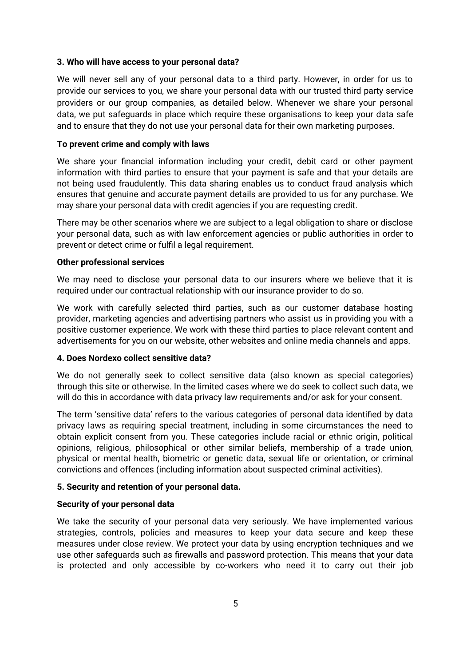### **3. Who will have access to your personal data?**

We will never sell any of your personal data to a third party. However, in order for us to provide our services to you, we share your personal data with our trusted third party service providers or our group companies, as detailed below. Whenever we share your personal data, we put safeguards in place which require these organisations to keep your data safe and to ensure that they do not use your personal data for their own marketing purposes.

### **To prevent crime and comply with laws**

We share your financial information including your credit, debit card or other payment information with third parties to ensure that your payment is safe and that your details are not being used fraudulently. This data sharing enables us to conduct fraud analysis which ensures that genuine and accurate payment details are provided to us for any purchase. We may share your personal data with credit agencies if you are requesting credit.

There may be other scenarios where we are subject to a legal obligation to share or disclose your personal data, such as with law enforcement agencies or public authorities in order to prevent or detect crime or fulfil a legal requirement.

### **Other professional services**

We may need to disclose your personal data to our insurers where we believe that it is required under our contractual relationship with our insurance provider to do so.

We work with carefully selected third parties, such as our customer database hosting provider, marketing agencies and advertising partners who assist us in providing you with a positive customer experience. We work with these third parties to place relevant content and advertisements for you on our website, other websites and online media channels and apps.

#### **4. Does Nordexo collect sensitive data?**

We do not generally seek to collect sensitive data (also known as special categories) through this site or otherwise. In the limited cases where we do seek to collect such data, we will do this in accordance with data privacy law requirements and/or ask for your consent.

The term 'sensitive data' refers to the various categories of personal data identified by data privacy laws as requiring special treatment, including in some circumstances the need to obtain explicit consent from you. These categories include racial or ethnic origin, political opinions, religious, philosophical or other similar beliefs, membership of a trade union, physical or mental health, biometric or genetic data, sexual life or orientation, or criminal convictions and offences (including information about suspected criminal activities).

# **5. Security and retention of your personal data.**

#### **Security of your personal data**

We take the security of your personal data very seriously. We have implemented various strategies, controls, policies and measures to keep your data secure and keep these measures under close review. We protect your data by using encryption techniques and we use other safeguards such as firewalls and password protection. This means that your data is protected and only accessible by co-workers who need it to carry out their job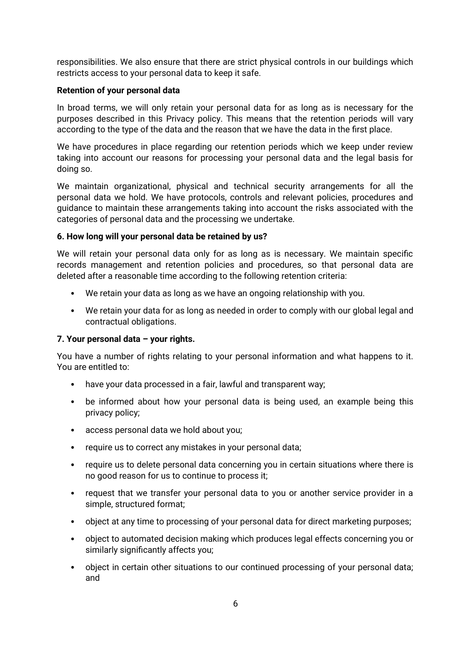responsibilities. We also ensure that there are strict physical controls in our buildings which restricts access to your personal data to keep it safe.

### **Retention of your personal data**

In broad terms, we will only retain your personal data for as long as is necessary for the purposes described in this Privacy policy. This means that the retention periods will vary according to the type of the data and the reason that we have the data in the first place.

We have procedures in place regarding our retention periods which we keep under review taking into account our reasons for processing your personal data and the legal basis for doing so.

We maintain organizational, physical and technical security arrangements for all the personal data we hold. We have protocols, controls and relevant policies, procedures and guidance to maintain these arrangements taking into account the risks associated with the categories of personal data and the processing we undertake.

# **6. How long will your personal data be retained by us?**

We will retain your personal data only for as long as is necessary. We maintain specific records management and retention policies and procedures, so that personal data are deleted after a reasonable time according to the following retention criteria:

- We retain your data as long as we have an ongoing relationship with you.
- We retain your data for as long as needed in order to comply with our global legal and contractual obligations.

# **7. Your personal data – your rights.**

You have a number of rights relating to your personal information and what happens to it. You are entitled to:

- have your data processed in a fair, lawful and transparent way;
- be informed about how your personal data is being used, an example being this privacy policy;
- access personal data we hold about you;
- require us to correct any mistakes in your personal data;
- require us to delete personal data concerning you in certain situations where there is no good reason for us to continue to process it;
- request that we transfer your personal data to you or another service provider in a simple, structured format;
- object at any time to processing of your personal data for direct marketing purposes;
- object to automated decision making which produces legal effects concerning you or similarly significantly affects you;
- object in certain other situations to our continued processing of your personal data; and